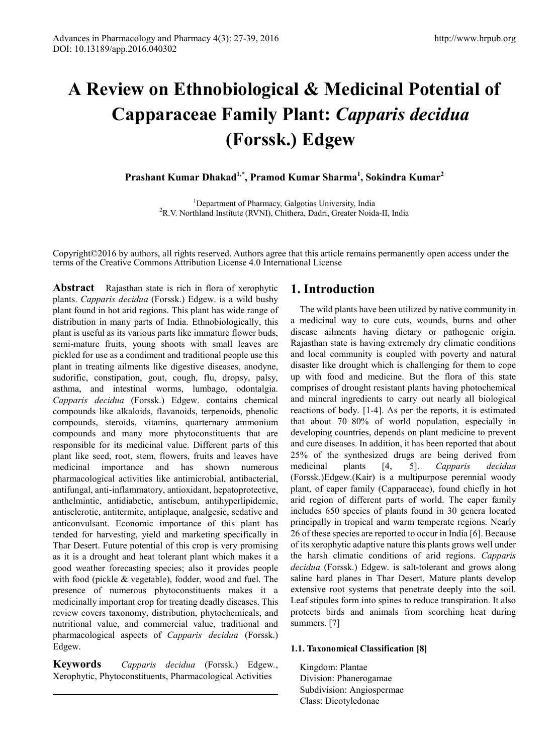# **A Review on Ethnobiological & Medicinal Potential of Capparaceae Family Plant:** *Capparis decidua*  **(Forssk.) Edgew**

**Prashant Kumar Dhakad1,\*, Pramod Kumar Sharma1 , Sokindra Kumar<sup>2</sup>**

<sup>1</sup>Department of Pharmacy, Galgotias University, India Department of Pharmacy, Galgotias University, India <sup>2</sup> R.V. Northland Institute (RVNI), Chithera, Dadri, Greater Noida-II, India

Copyright©2016 by authors, all rights reserved. Authors agree that this article remains permanently open access under the terms of the Creative Commons Attribution License 4.0 International License

**Abstract** Rajasthan state is rich in flora of xerophytic plants. *Capparis decidua* (Forssk.) Edgew. is a wild bushy plant found in hot arid regions. This plant has wide range of distribution in many parts of India. Ethnobiologically, this plant is useful as its various parts like immature flower buds, semi-mature fruits, young shoots with small leaves are pickled for use as a condiment and traditional people use this plant in treating ailments like digestive diseases, anodyne, sudorific, constipation, gout, cough, flu, dropsy, palsy, asthma, and intestinal worms, lumbago, odontalgia. *Capparis decidua* (Forssk.) Edgew. contains chemical compounds like alkaloids, flavanoids, terpenoids, phenolic compounds, steroids, vitamins, quarternary ammonium compounds and many more phytoconstituents that are responsible for its medicinal value. Different parts of this plant like seed, root, stem, flowers, fruits and leaves have medicinal importance and has shown numerous pharmacological activities like antimicrobial, antibacterial, antifungal, anti-inflammatory, antioxidant, hepatoprotective, anthelmintic, antidiabetic, antisebum, antihyperlipidemic, antisclerotic, antitermite, antiplaque, analgesic, sedative and anticonvulsant. Economic importance of this plant has tended for harvesting, yield and marketing specifically in Thar Desert. Future potential of this crop is very promising as it is a drought and heat tolerant plant which makes it a good weather forecasting species; also it provides people with food (pickle & vegetable), fodder, wood and fuel. The presence of numerous phytoconstituents makes it a medicinally important crop for treating deadly diseases. This review covers taxonomy, distribution, phytochemicals, and nutritional value, and commercial value, traditional and pharmacological aspects of *Capparis decidua* (Forssk.) Edgew.

**Keywords** *Capparis decidua* (Forssk.) Edgew*.*, Xerophytic, Phytoconstituents, Pharmacological Activities

## **1. Introduction**

The wild plants have been utilized by native community in a medicinal way to cure cuts, wounds, burns and other disease ailments having dietary or pathogenic origin. Rajasthan state is having extremely dry climatic conditions and local community is coupled with poverty and natural disaster like drought which is challenging for them to cope up with food and medicine. But the flora of this state comprises of drought resistant plants having photochemical and mineral ingredients to carry out nearly all biological reactions of body. [1-4]. As per the reports, it is estimated that about 70–80% of world population, especially in developing countries, depends on plant medicine to prevent and cure diseases. In addition, it has been reported that about 25% of the synthesized drugs are being derived from medicinal plants [4, 5]. *Capparis decidua* (Forssk.)Edgew.(Kair) is a multipurpose perennial woody plant, of caper family (Capparaceae), found chiefly in hot arid region of different parts of world. The caper family includes 650 species of plants found in 30 genera located principally in tropical and warm temperate regions. Nearly 26 of these species are reported to occur in India [6]. Because of its xerophytic adaptive nature this plants grows well under the harsh climatic conditions of arid regions. *Capparis decidua* (Forssk.) Edgew. is salt-tolerant and grows along saline hard planes in Thar Desert. Mature plants develop extensive root systems that penetrate deeply into the soil. Leaf stipules form into spines to reduce transpiration. It also protects birds and animals from scorching heat during summers. [7]

#### **1.1. Taxonomical Classification [8]**

Kingdom: Plantae Division: Phanerogamae Subdivision: Angiospermae Class: Dicotyledonae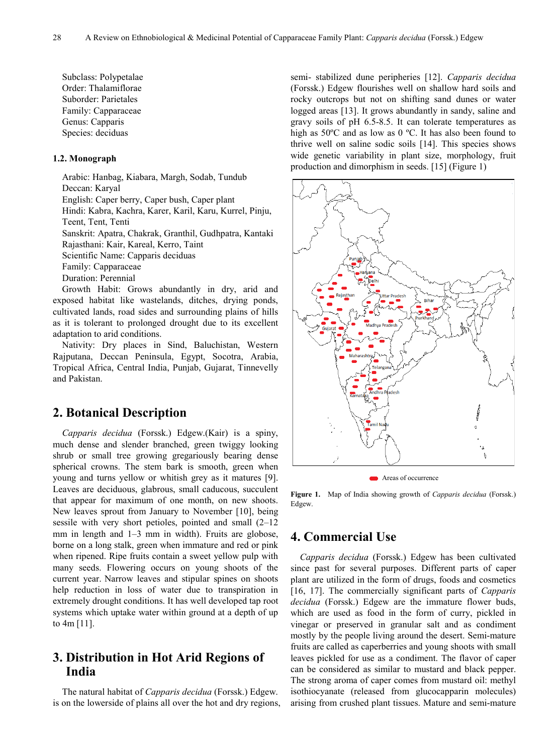Subclass: Polypetalae Order: Thalamiflorae Suborder: Parietales Family: Capparaceae Genus: Capparis Species: deciduas

#### **1.2. Monograph**

Arabic: Hanbag, Kiabara, Margh, Sodab, Tundub Deccan: Karyal English: Caper berry, Caper bush, Caper plant Hindi: Kabra, Kachra, Karer, Karil, Karu, Kurrel, Pinju, Teent, Tent, Tenti Sanskrit: Apatra, Chakrak, Granthil, Gudhpatra, Kantaki Rajasthani: Kair, Kareal, Kerro, Taint Scientific Name: Capparis deciduas Family: Capparaceae Duration: Perennial

Growth Habit: Grows abundantly in dry, arid and exposed habitat like wastelands, ditches, drying ponds, cultivated lands, road sides and surrounding plains of hills as it is tolerant to prolonged drought due to its excellent adaptation to arid conditions.

Nativity: Dry places in Sind, Baluchistan, Western Rajputana, Deccan Peninsula, Egypt, Socotra, Arabia, Tropical Africa, Central India, Punjab, Gujarat, Tinnevelly and Pakistan.

## **2. Botanical Description**

*Capparis decidua* (Forssk.) Edgew.(Kair) is a spiny, much dense and slender branched, green twiggy looking shrub or small tree growing gregariously bearing dense spherical crowns. The stem bark is smooth, green when young and turns yellow or whitish grey as it matures [9]. Leaves are deciduous, glabrous, small caducous, succulent that appear for maximum of one month, on new shoots. New leaves sprout from January to November [10], being sessile with very short petioles, pointed and small (2–12 mm in length and 1–3 mm in width). Fruits are globose, borne on a long stalk, green when immature and red or pink when ripened. Ripe fruits contain a sweet yellow pulp with many seeds. Flowering occurs on young shoots of the current year. Narrow leaves and stipular spines on shoots help reduction in loss of water due to transpiration in extremely drought conditions. It has well developed tap root systems which uptake water within ground at a depth of up to 4m [11].

## **3. Distribution in Hot Arid Regions of India**

The natural habitat of *Capparis decidua* (Forssk.) Edgew. is on the lowerside of plains all over the hot and dry regions, semi- stabilized dune peripheries [12]. *Capparis decidua*  (Forssk.) Edgew flourishes well on shallow hard soils and rocky outcrops but not on shifting sand dunes or water logged areas [13]. It grows abundantly in sandy, saline and gravy soils of pH 6.5-8.5. It can tolerate temperatures as high as 50°C and as low as 0 °C. It has also been found to thrive well on saline sodic soils [14]. This species shows wide genetic variability in plant size, morphology, fruit production and dimorphism in seeds. [15] (Figure 1)



Areas of occurrence

**Figure 1.** Map of India showing growth of *Capparis decidua* (Forssk.) Edgew.

#### **4. Commercial Use**

*Capparis decidua* (Forssk.) Edgew has been cultivated since past for several purposes. Different parts of caper plant are utilized in the form of drugs, foods and cosmetics [16, 17]. The commercially significant parts of *Capparis decidua* (Forssk.) Edgew are the immature flower buds, which are used as food in the form of curry, pickled in vinegar or preserved in granular salt and as condiment mostly by the people living around the desert. Semi-mature fruits are called as caperberries and young shoots with small leaves pickled for use as a condiment. The flavor of caper can be considered as similar to mustard and black pepper. The strong aroma of caper comes from mustard oil: methyl isothiocyanate (released from glucocapparin molecules) arising from crushed plant tissues. Mature and semi-mature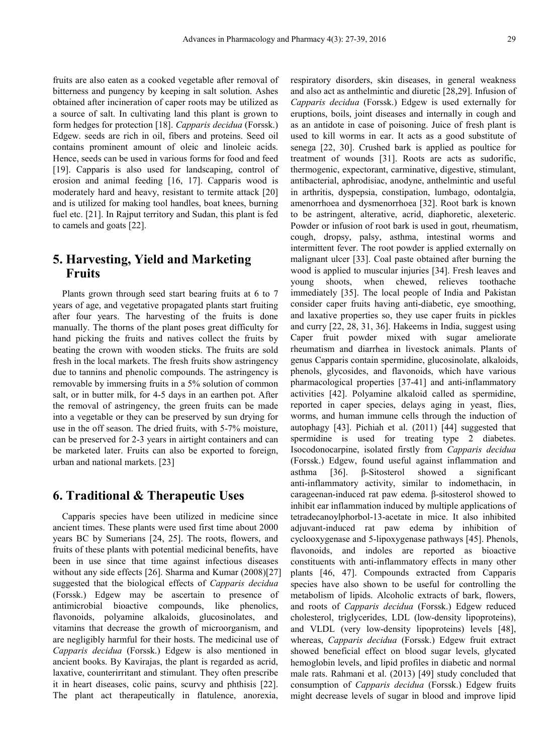fruits are also eaten as a cooked vegetable after removal of bitterness and pungency by keeping in salt solution. Ashes obtained after incineration of caper roots may be utilized as a source of salt. In cultivating land this plant is grown to form hedges for protection [18]. *Capparis decidua* (Forssk.) Edgew. seeds are rich in oil, fibers and proteins. Seed oil contains prominent amount of oleic and linoleic acids. Hence, seeds can be used in various forms for food and feed [19]. Capparis is also used for landscaping, control of erosion and animal feeding [16, 17]. Capparis wood is moderately hard and heavy, resistant to termite attack [20] and is utilized for making tool handles, boat knees, burning fuel etc. [21]. In Rajput territory and Sudan, this plant is fed to camels and goats [22].

## **5. Harvesting, Yield and Marketing Fruits**

Plants grown through seed start bearing fruits at 6 to 7 years of age, and vegetative propagated plants start fruiting after four years. The harvesting of the fruits is done manually. The thorns of the plant poses great difficulty for hand picking the fruits and natives collect the fruits by beating the crown with wooden sticks. The fruits are sold fresh in the local markets. The fresh fruits show astringency due to tannins and phenolic compounds. The astringency is removable by immersing fruits in a 5% solution of common salt, or in butter milk, for 4-5 days in an earthen pot. After the removal of astringency, the green fruits can be made into a vegetable or they can be preserved by sun drying for use in the off season. The dried fruits, with 5-7% moisture, can be preserved for 2-3 years in airtight containers and can be marketed later. Fruits can also be exported to foreign, urban and national markets. [23]

#### **6. Traditional & Therapeutic Uses**

Capparis species have been utilized in medicine since ancient times. These plants were used first time about 2000 years BC by Sumerians [24, 25]. The roots, flowers, and fruits of these plants with potential medicinal benefits, have been in use since that time against infectious diseases without any side effects [26]. Sharma and Kumar (2008)[27] suggested that the biological effects of *Capparis decidua* (Forssk.) Edgew may be ascertain to presence of antimicrobial bioactive compounds, like phenolics, flavonoids, polyamine alkaloids, glucosinolates, and vitamins that decrease the growth of microorganism, and are negligibly harmful for their hosts. The medicinal use of *Capparis decidua* (Forssk.) Edgew is also mentioned in ancient books. By Kavirajas, the plant is regarded as acrid, laxative, counterirritant and stimulant. They often prescribe it in heart diseases, colic pains, scurvy and phthisis [22]. The plant act therapeutically in flatulence, anorexia,

respiratory disorders, skin diseases, in general weakness and also act as anthelmintic and diuretic [28,29]. Infusion of *Capparis decidua* (Forssk.) Edgew is used externally for eruptions, boils, joint diseases and internally in cough and as an antidote in case of poisoning. Juice of fresh plant is used to kill worms in ear. It acts as a good substitute of senega [22, 30]. Crushed bark is applied as poultice for treatment of wounds [31]. Roots are acts as sudorific, thermogenic, expectorant, carminative, digestive, stimulant, antibacterial, aphrodisiac, anodyne, anthelmintic and useful in arthritis, dyspepsia, constipation, lumbago, odontalgia, amenorrhoea and dysmenorrhoea [32]. Root bark is known to be astringent, alterative, acrid, diaphoretic, alexeteric. Powder or infusion of root bark is used in gout, rheumatism, cough, dropsy, palsy, asthma, intestinal worms and intermittent fever. The root powder is applied externally on malignant ulcer [33]. Coal paste obtained after burning the wood is applied to muscular injuries [34]. Fresh leaves and young shoots, when chewed, relieves toothache immediately [35]. The local people of India and Pakistan consider caper fruits having anti-diabetic, eye smoothing, and laxative properties so, they use caper fruits in pickles and curry [22, 28, 31, 36]. Hakeems in India, suggest using Caper fruit powder mixed with sugar ameliorate rheumatism and diarrhea in livestock animals. Plants of genus Capparis contain spermidine, glucosinolate, alkaloids, phenols, glycosides, and flavonoids, which have various pharmacological properties [37-41] and anti-inflammatory activities [42]. Polyamine alkaloid called as spermidine, reported in caper species, delays aging in yeast, flies, worms, and human immune cells through the induction of autophagy [43]. Pichiah et al. (2011) [44] suggested that spermidine is used for treating type 2 diabetes. Isocodonocarpine, isolated firstly from *Capparis decidua* (Forssk.) Edgew, found useful against inflammation and asthma [36]. β-Sitosterol showed a significant anti-inflammatory activity, similar to indomethacin, in carageenan-induced rat paw edema. β-sitosterol showed to inhibit ear inflammation induced by multiple applications of tetradecanoylphorbol-13-acetate in mice. It also inhibited adjuvant-induced rat paw edema by inhibition of cyclooxygenase and 5-lipoxygenase pathways [45]. Phenols, flavonoids, and indoles are reported as bioactive constituents with anti-inflammatory effects in many other plants [46, 47]. Compounds extracted from Capparis species have also shown to be useful for controlling the metabolism of lipids. Alcoholic extracts of bark, flowers, and roots of *Capparis decidua* (Forssk.) Edgew reduced cholesterol, triglycerides, LDL (low-density lipoproteins), and VLDL (very low-density lipoproteins) levels [48], whereas, *Capparis decidua* (Forssk.) Edgew fruit extract showed beneficial effect on blood sugar levels, glycated hemoglobin levels, and lipid profiles in diabetic and normal male rats. Rahmani et al. (2013) [49] study concluded that consumption of *Capparis decidua* (Forssk.) Edgew fruits might decrease levels of sugar in blood and improve lipid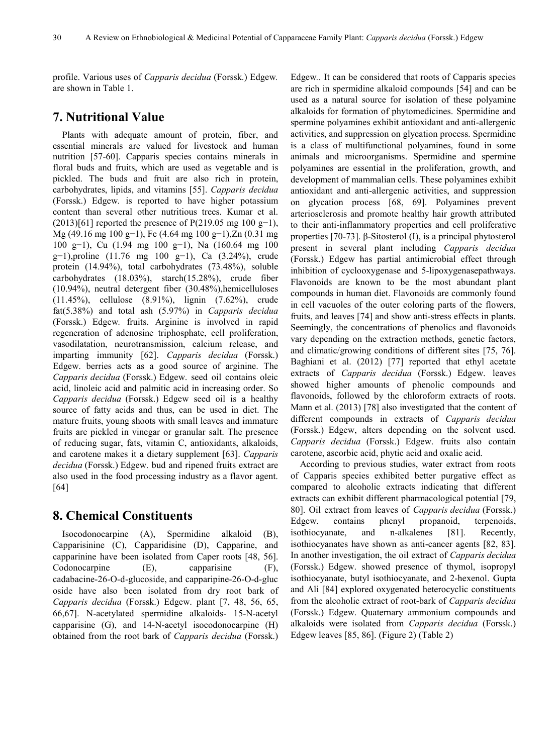profile. Various uses of *Capparis decidua* (Forssk.) Edgew*.* are shown in Table 1.

#### **7. Nutritional Value**

Plants with adequate amount of protein, fiber, and essential minerals are valued for livestock and human nutrition [57-60]. Capparis species contains minerals in floral buds and fruits, which are used as vegetable and is pickled. The buds and fruit are also rich in protein, carbohydrates, lipids, and vitamins [55]. *Capparis decidua*  (Forssk.) Edgew*.* is reported to have higher potassium content than several other nutritious trees. Kumar et al.  $(2013)[61]$  reported the presence of P(219.05 mg 100 g−1), Mg (49.16 mg 100 g−1), Fe (4.64 mg 100 g−1),Zn (0.31 mg 100 g−1), Cu (1.94 mg 100 g−1), Na (160.64 mg 100 g−1),proline (11.76 mg 100 g−1), Ca (3.24%), crude protein (14.94%), total carbohydrates (73.48%), soluble carbohydrates (18.03%), starch(15.28%), crude fiber  $(10.94\%)$ , neutral detergent fiber  $(30.48\%)$ , hemicelluloses (11.45%), cellulose (8.91%), lignin (7.62%), crude fat(5.38%) and total ash (5.97%) in *Capparis decidua*  (Forssk.) Edgew*.* fruits. Arginine is involved in rapid regeneration of adenosine triphosphate, cell proliferation, vasodilatation, neurotransmission, calcium release, and imparting immunity [62]. *Capparis decidua* (Forssk.) Edgew. berries acts as a good source of arginine. The *Capparis decidua* (Forssk.) Edgew. seed oil contains oleic acid, linoleic acid and palmitic acid in increasing order. So *Capparis decidua* (Forssk.) Edgew seed oil is a healthy source of fatty acids and thus, can be used in diet. The mature fruits, young shoots with small leaves and immature fruits are pickled in vinegar or granular salt. The presence of reducing sugar, fats, vitamin C, antioxidants, alkaloids, and carotene makes it a dietary supplement [63]. *Capparis decidua* (Forssk.) Edgew. bud and ripened fruits extract are also used in the food processing industry as a flavor agent. [64]

## **8. Chemical Constituents**

Isocodonocarpine (A), Spermidine alkaloid (B), Capparisinine (C), Capparidisine (D), Capparine, and capparinine have been isolated from Caper roots [48, 56]. Codonocarpine (E), capparisine (F), cadabacine-26-O-d-glucoside, and capparipine-26-O-d-gluc oside have also been isolated from dry root bark of *Capparis decidua* (Forssk.) Edgew. plant [7, 48, 56, 65, 66,67]. N-acetylated spermidine alkaloids- 15-N-acetyl capparisine (G), and 14-N-acetyl isocodonocarpine (H) obtained from the root bark of *Capparis decidua* (Forssk.) Edgew*.*. It can be considered that roots of Capparis species are rich in spermidine alkaloid compounds [54] and can be used as a natural source for isolation of these polyamine alkaloids for formation of phytomedicines. Spermidine and spermine polyamines exhibit antioxidant and anti-allergenic activities, and suppression on glycation process. Spermidine is a class of multifunctional polyamines, found in some animals and microorganisms. Spermidine and spermine polyamines are essential in the proliferation, growth, and development of mammalian cells. These polyamines exhibit antioxidant and anti-allergenic activities, and suppression on glycation process [68, 69]. Polyamines prevent arteriosclerosis and promote healthy hair growth attributed to their anti-inflammatory properties and cell proliferative properties [70-73]. β-Sitosterol (I), is a principal phytosterol present in several plant including *Capparis decidua* (Forssk.) Edgew has partial antimicrobial effect through inhibition of cyclooxygenase and 5-lipoxygenasepathways. Flavonoids are known to be the most abundant plant compounds in human diet. Flavonoids are commonly found in cell vacuoles of the outer coloring parts of the flowers, fruits, and leaves [74] and show anti-stress effects in plants. Seemingly, the concentrations of phenolics and flavonoids vary depending on the extraction methods, genetic factors, and climatic/growing conditions of different sites [75, 76]. Baghiani et al. (2012) [77] reported that ethyl acetate extracts of *Capparis decidua* (Forssk.) Edgew. leaves showed higher amounts of phenolic compounds and flavonoids, followed by the chloroform extracts of roots. Mann et al. (2013) [78] also investigated that the content of different compounds in extracts of *Capparis decidua*  (Forssk.) Edgew, alters depending on the solvent used. *Capparis decidua* (Forssk.) Edgew. fruits also contain carotene, ascorbic acid, phytic acid and oxalic acid.

According to previous studies, water extract from roots of Capparis species exhibited better purgative effect as compared to alcoholic extracts indicating that different extracts can exhibit different pharmacological potential [79, 80]. Oil extract from leaves of *Capparis decidua* (Forssk.) Edgew. contains phenyl propanoid, terpenoids, isothiocyanate, and n-alkalenes [81]. Recently, isothiocyanates have shown as anti-cancer agents [82, 83]. In another investigation, the oil extract of *Capparis decidua*  (Forssk.) Edgew. showed presence of thymol, isopropyl isothiocyanate, butyl isothiocyanate, and 2-hexenol. Gupta and Ali [84] explored oxygenated heterocyclic constituents from the alcoholic extract of root-bark of *Capparis decidua* (Forssk.) Edgew. Quaternary ammonium compounds and alkaloids were isolated from *Capparis decidua* (Forssk.) Edgew leaves [85, 86]. (Figure 2) (Table 2)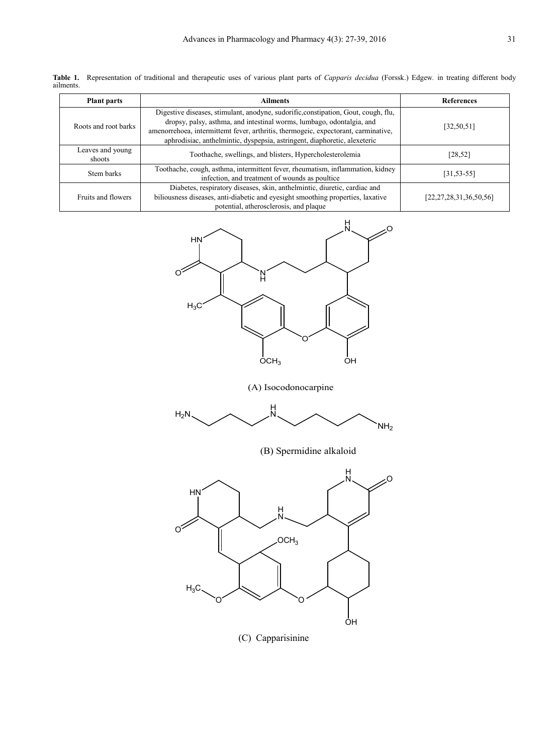**Table 1.** Representation of traditional and therapeutic uses of various plant parts of *Capparis decidua* (Forssk.) Edgew*.* in treating different body ailments.

| <b>Plant parts</b>         | <b>Ailments</b>                                                                                                                                                                                                                                                                                                                | <b>References</b>            |
|----------------------------|--------------------------------------------------------------------------------------------------------------------------------------------------------------------------------------------------------------------------------------------------------------------------------------------------------------------------------|------------------------------|
| Roots and root barks       | Digestive diseases, stimulant, anodyne, sudorific, constipation, Gout, cough, flu,<br>dropsy, palsy, asthma, and intestinal worms, lumbago, odontalgia, and<br>amenorrehoea, intermittemt fever, arthritis, thermogeic, expectorant, carminative,<br>aphrodisiac, anthelmintic, dyspepsia, astringent, diaphoretic, alexeteric | [32, 50, 51]                 |
| Leaves and young<br>shoots | Toothache, swellings, and blisters, Hypercholesterolemia                                                                                                                                                                                                                                                                       | $[28, 52]$                   |
| Stem barks                 | Toothache, cough, asthma, intermittent fever, rheumatism, inflammation, kidney<br>infection, and treatment of wounds as poultice                                                                                                                                                                                               | $[31, 53 - 55]$              |
| Fruits and flowers         | Diabetes, respiratory diseases, skin, anthelmintic, diuretic, cardiac and<br>biliousness diseases, anti-diabetic and eyesight smoothing properties, laxative<br>potential, atherosclerosis, and plaque                                                                                                                         | [22, 27, 28, 31, 36, 50, 56] |



(A) Isocodonocarpine



(B) Spermidine alkaloid



(C) Capparisinine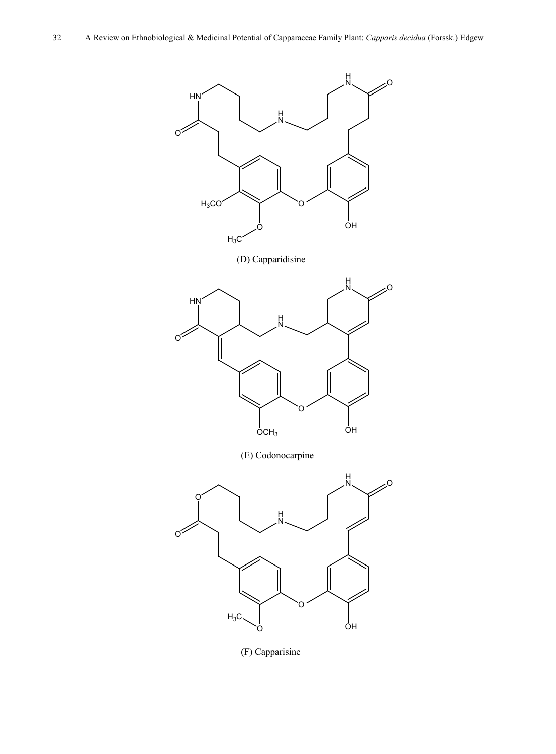

(F) Capparisine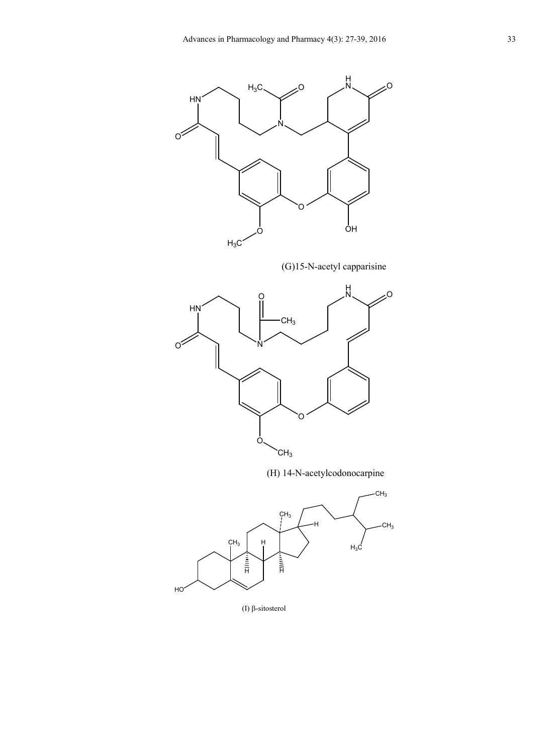

(G)15-N-acetyl capparisine



(H) 14-N-acetylcodonocarpine



(Ι) β-sitosterol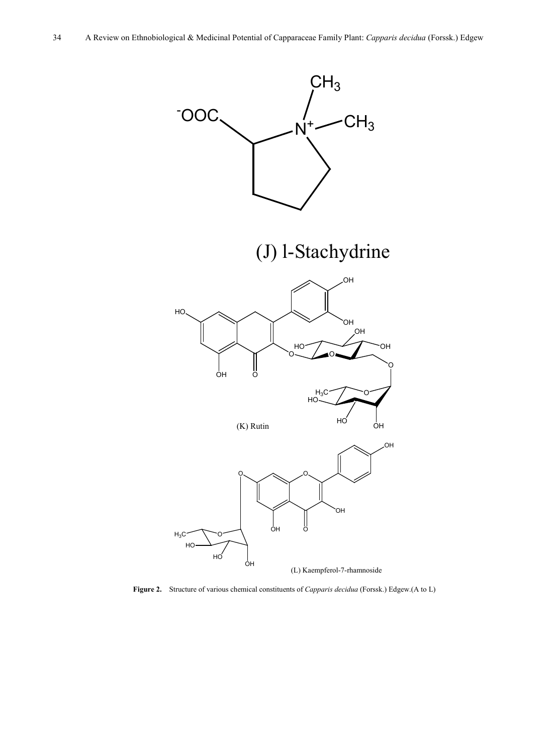

**Figure 2.** Structure of various chemical constituents of *Capparis decidua* (Forssk.) Edgew.(A to L)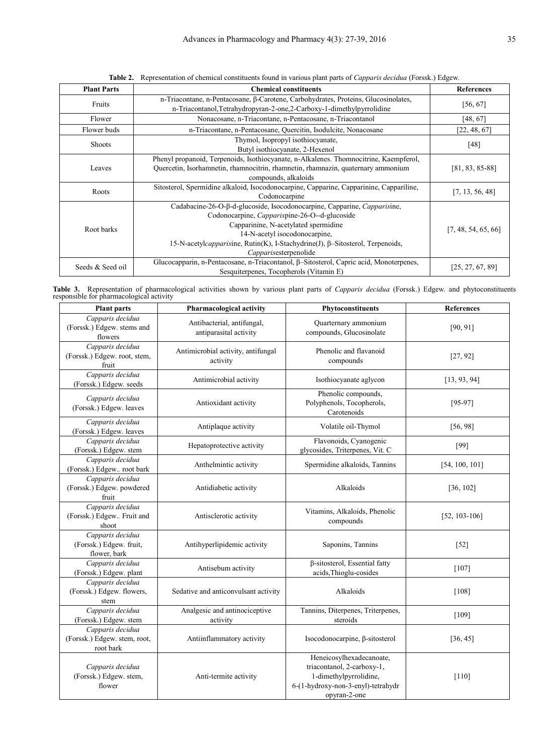| <b>Plant Parts</b> | <b>Chemical constituents</b>                                                                                                                                                                                                                                                                                 | <b>References</b>   |  |
|--------------------|--------------------------------------------------------------------------------------------------------------------------------------------------------------------------------------------------------------------------------------------------------------------------------------------------------------|---------------------|--|
| Fruits             | n-Triacontane, n-Pentacosane, β-Carotene, Carbohydrates, Proteins, Glucosinolates,<br>n-Triacontanol, Tetrahydropyran-2-one, 2-Carboxy-1-dimethylpyrrolidine                                                                                                                                                 | [56, 67]            |  |
| Flower             | Nonacosane, n-Triacontane, n-Pentacosane, n-Triacontanol                                                                                                                                                                                                                                                     | [48, 67]            |  |
| Flower buds        | n-Triacontane, n-Pentacosane, Quercitin, Isodulcite, Nonacosane                                                                                                                                                                                                                                              | [22, 48, 67]        |  |
| <b>Shoots</b>      | Thymol, Isopropyl isothiocyanate,<br>Butyl isothiocyanate, 2-Hexenol                                                                                                                                                                                                                                         | [48]                |  |
| Leaves             | Phenyl propanoid, Terpenoids, Isothiocyanate, n-Alkalenes. Thomnocitrine, Kaempferol,<br>Quercetin, Isorhamnetin, rhamnocitrin, rhamnetin, rhamnazin, quaternary ammonium<br>compounds, alkaloids                                                                                                            | $[81, 83, 85-88]$   |  |
| Roots              | Sitosterol, Spermidine alkaloid, Isocodonocarpine, Capparine, Capparinine, Cappariline,<br>Codonocarpine                                                                                                                                                                                                     | [7, 13, 56, 48]     |  |
| Root barks         | Cadabacine-26-O-β-d-glucoside, Isocodonocarpine, Capparine, Capparisine,<br>Codonocarpine, Capparispine-26-O--d-glucoside<br>Capparinine, N-acetylated spermidine<br>14-N-acetyl isocodonocarpine,<br>15-N-acetylcapparisine, Rutin(K), I-Stachydrine(J), β-Sitosterol, Terpenoids,<br>Capparisesterpenolide | [7, 48, 54, 65, 66] |  |
| Seeds & Seed oil   | Glucocapparin, n-Pentacosane, n-Triacontanol, β-Sitosterol, Capric acid, Monoterpenes,<br>Sesquiterpenes, Tocopherols (Vitamin E)                                                                                                                                                                            | [25, 27, 67, 89]    |  |

**Table 2.** Representation of chemical constituents found in various plant parts of *Capparis decidua* (Forssk.) Edgew*.*

**Table 3.** Representation of pharmacological activities shown by various plant parts of *Capparis decidua* (Forssk.) Edgew. and phytoconstituents responsible for pharmacological activity

| <b>Plant parts</b>                                            | <b>Pharmacological activity</b>                      | Phytoconstituents                                                                                                                      | <b>References</b> |
|---------------------------------------------------------------|------------------------------------------------------|----------------------------------------------------------------------------------------------------------------------------------------|-------------------|
| Capparis decidua<br>(Forssk.) Edgew. stems and<br>flowers     | Antibacterial, antifungal,<br>antiparasital activity | Quarternary ammonium<br>compounds, Glucosinolate                                                                                       | [90, 91]          |
| Capparis decidua<br>(Forssk.) Edgew. root, stem,<br>fruit     | Antimicrobial activity, antifungal<br>activity       | Phenolic and flavanoid<br>compounds                                                                                                    | [27, 92]          |
| Capparis decidua<br>(Forssk.) Edgew. seeds                    | Antimicrobial activity                               | Isothiocyanate aglycon                                                                                                                 | [13, 93, 94]      |
| Capparis decidua<br>(Forssk.) Edgew. leaves                   | Antioxidant activity                                 | Phenolic compounds,<br>Polyphenols, Tocopherols,<br>Carotenoids                                                                        | $[95-97]$         |
| Capparis decidua<br>(Forssk.) Edgew. leaves                   | Antiplaque activity                                  | Volatile oil-Thymol                                                                                                                    | [56, 98]          |
| Capparis decidua<br>(Forssk.) Edgew. stem                     | Hepatoprotective activity                            | Flavonoids, Cyanogenic<br>glycosides, Triterpenes, Vit. C                                                                              | $[99]$            |
| Capparis decidua<br>(Forssk.) Edgew root bark                 | Anthelmintic activity                                | Spermidine alkaloids, Tannins                                                                                                          | [54, 100, 101]    |
| Capparis decidua<br>(Forssk.) Edgew. powdered<br>fruit        | Antidiabetic activity                                | Alkaloids                                                                                                                              | [36, 102]         |
| Capparis decidua<br>(Forssk.) Edgew Fruit and<br>shoot        | Antisclerotic activity                               | Vitamins, Alkaloids, Phenolic<br>compounds                                                                                             | $[52, 103 - 106]$ |
| Capparis decidua<br>(Forssk.) Edgew. fruit,<br>flower, bark   | Antihyperlipidemic activity                          | Saponins, Tannins                                                                                                                      | $[52]$            |
| Capparis decidua<br>(Forssk.) Edgew. plant                    | Antisebum activity                                   | β-sitosterol, Essential fatty<br>acids, Thioglu-cosides                                                                                | $[107]$           |
| Capparis decidua<br>(Forssk.) Edgew. flowers,<br>stem         | Sedative and anticonvulsant activity                 | Alkaloids                                                                                                                              | [108]             |
| Capparis decidua<br>(Forssk.) Edgew. stem                     | Analgesic and antinociceptive<br>activity            | Tannins, Diterpenes, Triterpenes,<br>steroids                                                                                          | [109]             |
| Capparis decidua<br>(Forssk.) Edgew. stem, root,<br>root bark | Antiinflammatory activity                            | Isocodonocarpine, β-sitosterol                                                                                                         | [36, 45]          |
| Capparis decidua<br>(Forssk.) Edgew. stem,<br>flower          | Anti-termite activity                                | Heneicosylhexadecanoate,<br>triacontanol, 2-carboxy-1,<br>1-dimethylpyrrolidine,<br>6-(1-hydroxy-non-3-enyl)-tetrahydr<br>opyran-2-one | $[110]$           |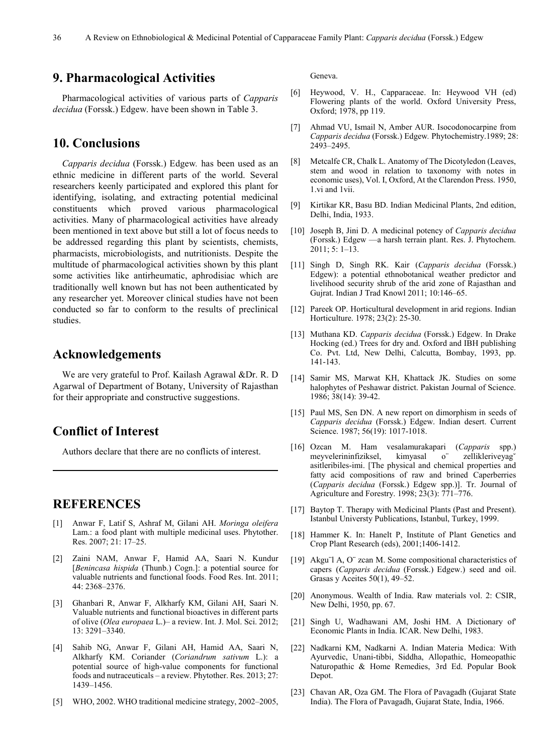#### **9. Pharmacological Activities**

Pharmacological activities of various parts of *Capparis decidua* (Forssk.) Edgew. have been shown in Table 3.

#### **10. Conclusions**

*Capparis decidua* (Forssk.) Edgew*.* has been used as an ethnic medicine in different parts of the world. Several researchers keenly participated and explored this plant for identifying, isolating, and extracting potential medicinal constituents which proved various pharmacological activities. Many of pharmacological activities have already been mentioned in text above but still a lot of focus needs to be addressed regarding this plant by scientists, chemists, pharmacists, microbiologists, and nutritionists. Despite the multitude of pharmacological activities shown by this plant some activities like antirheumatic, aphrodisiac which are traditionally well known but has not been authenticated by any researcher yet. Moreover clinical studies have not been conducted so far to conform to the results of preclinical studies.

#### **Acknowledgements**

We are very grateful to Prof. Kailash Agrawal &Dr. R. D Agarwal of Department of Botany, University of Rajasthan for their appropriate and constructive suggestions.

## **Conflict of Interest**

Authors declare that there are no conflicts of interest.

#### **REFERENCES**

- [1] Anwar F, Latif S, Ashraf M, Gilani AH. *Moringa oleifera* Lam.: a food plant with multiple medicinal uses. Phytother. Res. 2007; 21: 17–25.
- [2] Zaini NAM, Anwar F, Hamid AA, Saari N. Kundur [*Benincasa hispida* (Thunb.) Cogn.]: a potential source for valuable nutrients and functional foods. Food Res. Int. 2011; 44: 2368–2376.
- [3] Ghanbari R, Anwar F, Alkharfy KM, Gilani AH, Saari N. Valuable nutrients and functional bioactives in different parts of olive (*Olea europaea* L.)– a review. Int. J. Mol. Sci. 2012; 13: 3291–3340.
- [4] Sahib NG, Anwar F, Gilani AH, Hamid AA, Saari N, Alkharfy KM. Coriander (*Coriandrum sativum* L.): a potential source of high-value components for functional foods and nutraceuticals – a review. Phytother. Res. 2013; 27: 1439–1456.
- [5] WHO, 2002. WHO traditional medicine strategy, 2002–2005,

Geneva.

- [6] Heywood, V. H., Capparaceae. In: Heywood VH (ed) Flowering plants of the world. Oxford University Press, Oxford; 1978, pp 119.
- [7] Ahmad VU, Ismail N, Amber AUR. Isocodonocarpine from *Capparis decidua* (Forssk.) Edgew*.* Phytochemistry.1989; 28: 2493–2495.
- [8] Metcalfe CR, Chalk L. Anatomy of The Dicotyledon (Leaves, stem and wood in relation to taxonomy with notes in economic uses), Vol. I, Oxford, At the Clarendon Press. 1950, 1.vi and 1vii.
- [9] Kirtikar KR, Basu BD. Indian Medicinal Plants, 2nd edition, Delhi, India, 1933.
- [10] Joseph B, Jini D. A medicinal potency of *Capparis decidua*  (Forssk.) Edgew —a harsh terrain plant. Res. J. Phytochem. 2011; 5: 1–13.
- [11] Singh D, Singh RK. Kair (*Capparis decidua* (Forssk.) Edgew): a potential ethnobotanical weather predictor and livelihood security shrub of the arid zone of Rajasthan and Gujrat. Indian J Trad Knowl 2011; 10:146–65.
- [12] Pareek OP. Horticultural development in arid regions. Indian Horticulture. 1978; 23(2): 25-30.
- [13] Muthana KD. *Capparis decidua* (Forssk.) Edgew. In Drake Hocking (ed.) Trees for dry and. Oxford and IBH publishing Co. Pvt. Ltd, New Delhi, Calcutta, Bombay, 1993, pp. 141-143.
- [14] Samir MS, Marwat KH, Khattack JK. Studies on some halophytes of Peshawar district. Pakistan Journal of Science. 1986; 38(14): 39-42.
- [15] Paul MS, Sen DN. A new report on dimorphism in seeds of *Capparis decidua* (Forssk.) Edgew. Indian desert. Current Science. 1987; 56(19): 1017-1018.
- [16] Ozcan M. Ham vesalamurakapari (*Capparis* spp.) meyvelerininfiziksel, kimyasal o zellikleriveyag` asitleribiles-imi. [The physical and chemical properties and fatty acid compositions of raw and brined Caperberries (*Capparis decidua* (Forssk.) Edgew spp.)]. Tr. Journal of Agriculture and Forestry. 1998; 23(3): 771–776.
- [17] Baytop T. Therapy with Medicinal Plants (Past and Present). Istanbul Universty Publications, Istanbul, Turkey, 1999.
- [18] Hammer K. In: Hanelt P, Institute of Plant Genetics and Crop Plant Research (eds), 2001;1406-1412.
- [19] Akgu¨l A, O¨ zcan M. Some compositional characteristics of capers (*Capparis decidua* (Forssk.) Edgew.) seed and oil. Grasas y Aceites 50(1), 49–52.
- [20] Anonymous. Wealth of India. Raw materials vol. 2: CSIR, New Delhi, 1950, pp. 67.
- [21] Singh U, Wadhawani AM, Joshi HM. A Dictionary of' Economic Plants in India. ICAR. New Delhi, 1983.
- [22] Nadkarni KM, Nadkarni A. Indian Materia Medica: With Ayurvedic, Unani-tibbi, Siddha, Allopathic, Homeopathic Naturopathic & Home Remedies, 3rd Ed. Popular Book Depot.
- [23] Chavan AR, Oza GM. The Flora of Pavagadh (Gujarat State India). The Flora of Pavagadh, Gujarat State, India, 1966.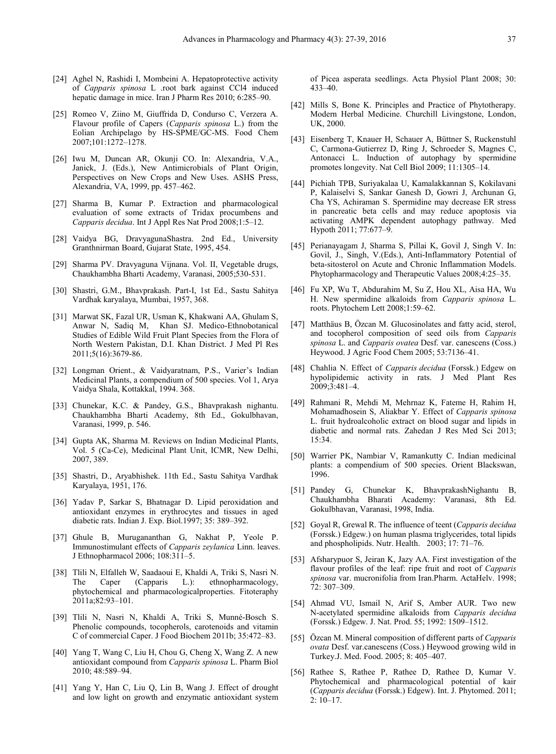- [24] Aghel N, Rashidi I, Mombeini A. Hepatoprotective activity of *Capparis spinosa* L .root bark against CCl4 induced hepatic damage in mice. Iran J Pharm Res 2010; 6:285–90.
- [25] Romeo V, Ziino M, Giuffrida D, Condurso C, Verzera A. Flavour profile of Capers (*Capparis spinosa* L.) from the Eolian Archipelago by HS-SPME/GC-MS. Food Chem 2007;101:1272–1278.
- [26] Iwu M, Duncan AR, Okunji CO. In: Alexandria, V.A., Janick, J. (Eds.), New Antimicrobials of Plant Origin, Perspectives on New Crops and New Uses. ASHS Press, Alexandria, VA, 1999, pp. 457–462.
- [27] Sharma B, Kumar P. Extraction and pharmacological evaluation of some extracts of Tridax procumbens and *Capparis decidua*. Int J Appl Res Nat Prod 2008;1:5–12.
- [28] Vaidya BG, DravyagunaShastra. 2nd Ed., University Granthnirman Board, Gujarat State, 1995, 454.
- [29] Sharma PV. Dravyaguna Vijnana. Vol. II, Vegetable drugs, Chaukhambha Bharti Academy, Varanasi, 2005;530-531.
- [30] Shastri, G.M., Bhavprakash. Part-I, 1st Ed., Sastu Sahitya Vardhak karyalaya, Mumbai, 1957, 368.
- [31] Marwat SK, Fazal UR, Usman K, Khakwani AA, Ghulam S, Anwar N, Sadiq M, Khan SJ. Medico-Ethnobotanical Studies of Edible Wild Fruit Plant Species from the Flora of North Western Pakistan, D.I. Khan District. J Med Pl Res 2011;5(16):3679-86.
- [32] Longman Orient., & Vaidyaratnam, P.S., Varier's Indian Medicinal Plants, a compendium of 500 species. Vol 1, Arya Vaidya Shala, Kottakkal, 1994. 368.
- [33] Chunekar, K.C. & Pandey, G.S., Bhavprakash nighantu. Chaukhambha Bharti Academy, 8th Ed., Gokulbhavan, Varanasi, 1999, p. 546.
- [34] Gupta AK, Sharma M. Reviews on Indian Medicinal Plants, Vol. 5 (Ca-Ce), Medicinal Plant Unit, ICMR, New Delhi, 2007, 389.
- [35] Shastri, D., Aryabhishek. 11th Ed., Sastu Sahitya Vardhak Karyalaya, 1951, 176.
- [36] Yadav P, Sarkar S, Bhatnagar D. Lipid peroxidation and antioxidant enzymes in erythrocytes and tissues in aged diabetic rats. Indian J. Exp. Biol.1997; 35: 389–392.
- [37] Ghule B, Murugananthan G, Nakhat P, Yeole P. Immunostimulant effects of *Capparis zeylanica* Linn. leaves. J Ethnopharmacol 2006; 108:311–5.
- [38] Tlili N, Elfalleh W, Saadaoui E, Khaldi A, Triki S, Nasri N. The Caper (Capparis L.): ethnopharmacology, phytochemical and pharmacologicalproperties. Fitoteraphy 2011a;82:93–101.
- [39] Tlili N, Nasri N, Khaldi A, Triki S, Munné-Bosch S. Phenolic compounds, tocopherols, carotenoids and vitamin C of commercial Caper. J Food Biochem 2011b; 35:472–83.
- [40] Yang T, Wang C, Liu H, Chou G, Cheng X, Wang Z. A new antioxidant compound from *Capparis spinosa* L. Pharm Biol 2010; 48:589–94.
- [41] Yang Y, Han C, Liu Q, Lin B, Wang J. Effect of drought and low light on growth and enzymatic antioxidant system

of Picea asperata seedlings. Acta Physiol Plant 2008; 30: 433–40.

- [42] Mills S, Bone K. Principles and Practice of Phytotherapy. Modern Herbal Medicine. Churchill Livingstone, London, UK, 2000.
- [43] Eisenberg T, Knauer H, Schauer A, Büttner S, Ruckenstuhl C, Carmona-Gutierrez D, Ring J, Schroeder S, Magnes C, Antonacci L. Induction of autophagy by spermidine promotes longevity. Nat Cell Biol 2009; 11:1305–14.
- [44] Pichiah TPB, Suriyakalaa U, Kamalakkannan S, Kokilavani P, Kalaiselvi S, Sankar Ganesh D, Gowri J, Archunan G, Cha YS, Achiraman S. Spermidine may decrease ER stress in pancreatic beta cells and may reduce apoptosis via activating AMPK dependent autophagy pathway. Med Hypoth 2011; 77:677–9.
- [45] Perianayagam J, Sharma S, Pillai K, Govil J, Singh V. In: Govil, J., Singh, V.(Eds.), Anti-Inflammatory Potential of beta-sitosterol on Acute and Chronic Inflammation Models. Phytopharmacology and Therapeutic Values 2008;4:25–35.
- [46] Fu XP, Wu T, Abdurahim M, Su Z, Hou XL, Aisa HA, Wu H. New spermidine alkaloids from *Capparis spinosa* L. roots. Phytochem Lett 2008;1:59–62.
- [47] Matthäus B, Özcan M. Glucosinolates and fatty acid, sterol, and tocopherol composition of seed oils from *Capparis spinosa* L. and *Capparis ovatea* Desf. var. canescens (Coss.) Heywood. J Agric Food Chem 2005; 53:7136–41.
- [48] Chahlia N. Effect of *Capparis decidua* (Forssk.) Edgew on hypolipidemic activity in rats. J Med Plant Res 2009;3:481–4.
- [49] Rahmani R, Mehdi M, Mehrnaz K, Fateme H, Rahim H, Mohamadhosein S, Aliakbar Y. Effect of *Capparis spinosa* L. fruit hydroalcoholic extract on blood sugar and lipids in diabetic and normal rats. Zahedan J Res Med Sci 2013; 15:34.
- [50] Warrier PK, Nambiar V, Ramankutty C. Indian medicinal plants: a compendium of 500 species. Orient Blackswan, 1996.
- [51] Pandey G, Chunekar K, BhavprakashNighantu B, Chaukhambha Bharati Academy: Varanasi, 8th Ed. Gokulbhavan, Varanasi, 1998, India.
- [52] Goyal R, Grewal R. The influence of teent (*Capparis decidua*  (Forssk.) Edgew.) on human plasma triglycerides, total lipids and phospholipids. Nutr. Health. 2003; 17: 71–76.
- [53] Afsharypuor S, Jeiran K, Jazy AA. First investigation of the flavour profiles of the leaf: ripe fruit and root of *Capparis spinosa* var. mucronifolia from Iran.Pharm. ActaHelv. 1998; 72: 307–309.
- [54] Ahmad VU, Ismail N, Arif S, Amber AUR. Two new N-acetylated spermidine alkaloids from *Capparis decidua*  (Forssk.) Edgew. J. Nat. Prod. 55; 1992: 1509–1512.
- [55] Özcan M. Mineral composition of different parts of *Capparis ovata* Desf. var.canescens (Coss.) Heywood growing wild in Turkey.J. Med. Food. 2005; 8: 405–407.
- [56] Rathee S, Rathee P, Rathee D, Rathee D, Kumar V. Phytochemical and pharmacological potential of kair (*Capparis decidua* (Forssk.) Edgew). Int. J. Phytomed. 2011; 2: 10–17.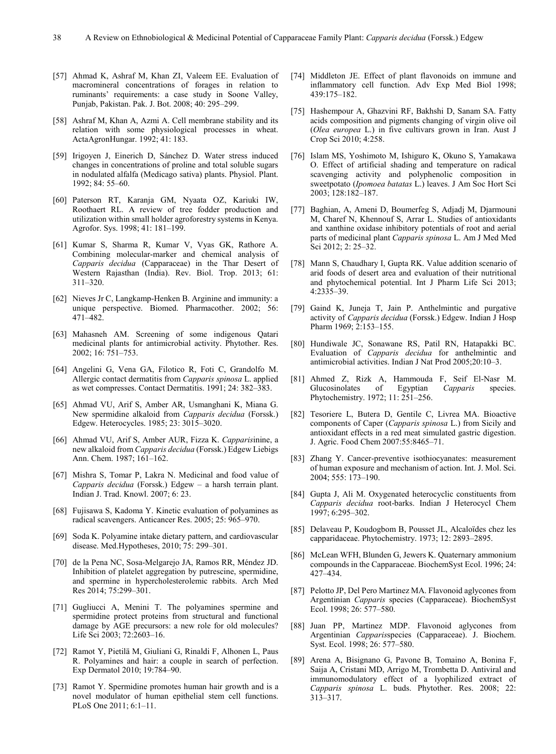- [57] Ahmad K, Ashraf M, Khan ZI, Valeem EE. Evaluation of macromineral concentrations of forages in relation to ruminants' requirements: a case study in Soone Valley, Punjab, Pakistan. Pak. J. Bot. 2008; 40: 295–299.
- [58] Ashraf M, Khan A, Azmi A. Cell membrane stability and its relation with some physiological processes in wheat. ActaAgronHungar. 1992; 41: 183.
- [59] Irigoyen J, Einerich D, Sánchez D. Water stress induced changes in concentrations of proline and total soluble sugars in nodulated alfalfa (Medicago sativa) plants. Physiol. Plant. 1992; 84: 55–60.
- [60] Paterson RT, Karanja GM, Nyaata OZ, Kariuki IW, Roothaert RL. A review of tree fodder production and utilization within small holder agroforestry systems in Kenya. Agrofor. Sys. 1998; 41: 181–199.
- [61] Kumar S, Sharma R, Kumar V, Vyas GK, Rathore A. Combining molecular-marker and chemical analysis of *Capparis decidua* (Capparaceae) in the Thar Desert of Western Rajasthan (India). Rev. Biol. Trop. 2013; 61: 311–320.
- [62] Nieves Jr C, Langkamp-Henken B. Arginine and immunity: a unique perspective. Biomed. Pharmacother. 2002; 56: 471–482.
- [63] Mahasneh AM. Screening of some indigenous Qatari medicinal plants for antimicrobial activity. Phytother. Res. 2002; 16: 751–753.
- [64] Angelini G, Vena GA, Filotico R, Foti C, Grandolfo M. Allergic contact dermatitis from *Capparis spinosa* L. applied as wet compresses. Contact Dermatitis. 1991; 24: 382–383.
- [65] Ahmad VU, Arif S, Amber AR, Usmanghani K, Miana G. New spermidine alkaloid from *Capparis decidua* (Forssk.) Edgew. Heterocycles. 1985; 23: 3015–3020.
- [66] Ahmad VU, Arif S, Amber AUR, Fizza K. *Capparis*inine, a new alkaloid from *Capparis decidua* (Forssk.) Edgew Liebigs Ann. Chem. 1987; 161–162.
- [67] Mishra S, Tomar P, Lakra N. Medicinal and food value of *Capparis decidua* (Forssk.) Edgew – a harsh terrain plant. Indian J. Trad. Knowl. 2007; 6: 23.
- [68] Fujisawa S, Kadoma Y. Kinetic evaluation of polyamines as radical scavengers. Anticancer Res. 2005; 25: 965–970.
- [69] Soda K. Polyamine intake dietary pattern, and cardiovascular disease. Med.Hypotheses, 2010; 75: 299–301.
- [70] de la Pena NC, Sosa-Melgarejo JA, Ramos RR, Méndez JD. Inhibition of platelet aggregation by putrescine, spermidine, and spermine in hypercholesterolemic rabbits. Arch Med Res 2014; 75:299–301.
- [71] Gugliucci A, Menini T. The polyamines spermine and spermidine protect proteins from structural and functional damage by AGE precursors: a new role for old molecules? Life Sci 2003; 72:2603–16.
- [72] Ramot Y, Pietilä M, Giuliani G, Rinaldi F, Alhonen L, Paus R. Polyamines and hair: a couple in search of perfection. Exp Dermatol 2010; 19:784–90.
- [73] Ramot Y. Spermidine promotes human hair growth and is a novel modulator of human epithelial stem cell functions. PLoS One 2011; 6:1–11.
- [74] Middleton JE. Effect of plant flavonoids on immune and inflammatory cell function. Adv Exp Med Biol 1998; 439:175–182.
- [75] Hashempour A, Ghazvini RF, Bakhshi D, Sanam SA. Fatty acids composition and pigments changing of virgin olive oil (*Olea europea* L.) in five cultivars grown in Iran. Aust J Crop Sci 2010; 4:258.
- [76] Islam MS, Yoshimoto M, Ishiguro K, Okuno S, Yamakawa O. Effect of artificial shading and temperature on radical scavenging activity and polyphenolic composition in sweetpotato (*Ipomoea batatas* L.) leaves. J Am Soc Hort Sci 2003; 128:182–187.
- [77] Baghian, A, Ameni D, Boumerfeg S, Adjadj M, Djarmouni M, Charef N, Khennouf S, Arrar L. Studies of antioxidants and xanthine oxidase inhibitory potentials of root and aerial parts of medicinal plant *Capparis spinosa* L. Am J Med Med Sci 2012; 2: 25–32.
- [78] Mann S, Chaudhary I, Gupta RK. Value addition scenario of arid foods of desert area and evaluation of their nutritional and phytochemical potential. Int J Pharm Life Sci 2013; 4:2335–39.
- [79] Gaind K, Juneja T, Jain P. Anthelmintic and purgative activity of *Capparis decidua* (Forssk.) Edgew. Indian J Hosp Pharm 1969; 2:153–155.
- [80] Hundiwale JC, Sonawane RS, Patil RN, Hatapakki BC. Evaluation of *Capparis decidua* for anthelmintic and antimicrobial activities. Indian J Nat Prod 2005;20:10–3.
- [81] Ahmed Z, Rizk A, Hammouda F, Seif El-Nasr M.<br>Glucosinolates of Egyptian Capparis species. Glucosinolates of Egyptian *Capparis* species. Phytochemistry. 1972; 11: 251–256.
- [82] Tesoriere L, Butera D, Gentile C, Livrea MA. Bioactive components of Caper (*Capparis spinosa* L.) from Sicily and antioxidant effects in a red meat simulated gastric digestion. J. Agric. Food Chem 2007:55:8465–71.
- [83] Zhang Y. Cancer-preventive isothiocyanates: measurement of human exposure and mechanism of action. Int. J. Mol. Sci. 2004; 555: 173–190.
- [84] Gupta J, Ali M. Oxygenated heterocyclic constituents from *Capparis decidua* root-barks. Indian J Heterocycl Chem 1997; 6:295–302.
- [85] Delaveau P, Koudogbom B, Pousset JL, Alcaloïdes chez les capparidaceae. Phytochemistry. 1973; 12: 2893–2895.
- [86] McLean WFH, Blunden G, Jewers K. Quaternary ammonium compounds in the Capparaceae. BiochemSyst Ecol. 1996; 24: 427–434.
- [87] Pelotto JP, Del Pero Martinez MA. Flavonoid aglycones from Argentinian *Capparis* species (Capparaceae). BiochemSyst Ecol. 1998; 26: 577–580.
- [88] Juan PP, Martinez MDP. Flavonoid aglycones from Argentinian *Capparis*species (Capparaceae). J. Biochem. Syst. Ecol. 1998; 26: 577–580.
- [89] Arena A, Bisignano G, Pavone B, Tomaino A, Bonina F, Saija A, Cristani MD, Arrigo M, Trombetta D. Antiviral and immunomodulatory effect of a lyophilized extract of *Capparis spinosa* L. buds. Phytother. Res. 2008; 22: 313–317.